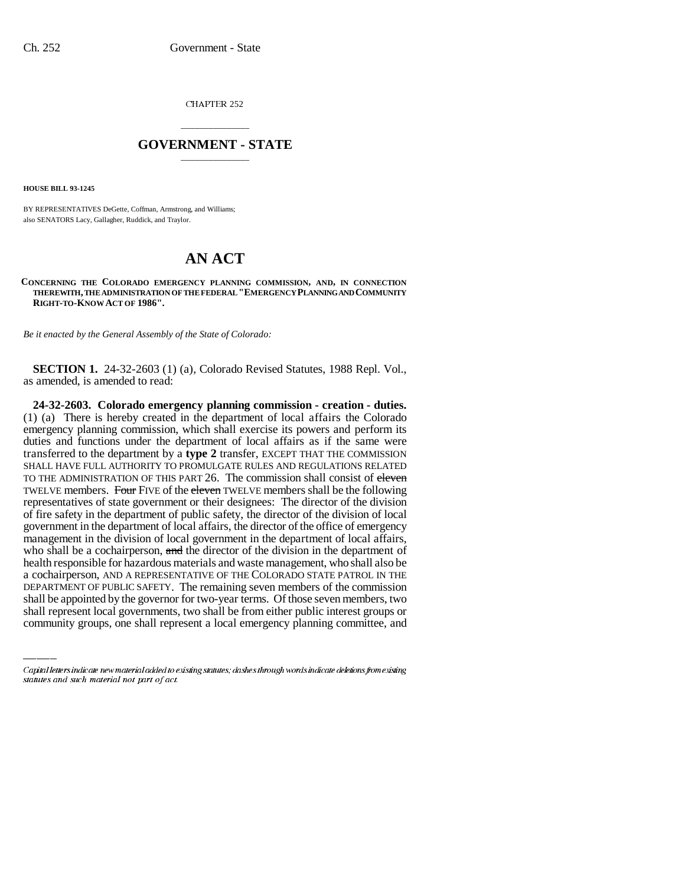CHAPTER 252

## \_\_\_\_\_\_\_\_\_\_\_\_\_\_\_ **GOVERNMENT - STATE** \_\_\_\_\_\_\_\_\_\_\_\_\_\_\_

**HOUSE BILL 93-1245**

BY REPRESENTATIVES DeGette, Coffman, Armstrong, and Williams; also SENATORS Lacy, Gallagher, Ruddick, and Traylor.

## **AN ACT**

**CONCERNING THE COLORADO EMERGENCY PLANNING COMMISSION, AND, IN CONNECTION THEREWITH, THE ADMINISTRATION OF THE FEDERAL "EMERGENCY PLANNING AND COMMUNITY RIGHT-TO-KNOW ACT OF 1986".**

*Be it enacted by the General Assembly of the State of Colorado:*

**SECTION 1.** 24-32-2603 (1) (a), Colorado Revised Statutes, 1988 Repl. Vol., as amended, is amended to read:

a cochairperson, AND A REPRESENTATIVE OF THE COLORADO STATE PATROL IN THE **24-32-2603. Colorado emergency planning commission - creation - duties.** (1) (a) There is hereby created in the department of local affairs the Colorado emergency planning commission, which shall exercise its powers and perform its duties and functions under the department of local affairs as if the same were transferred to the department by a **type 2** transfer, EXCEPT THAT THE COMMISSION SHALL HAVE FULL AUTHORITY TO PROMULGATE RULES AND REGULATIONS RELATED TO THE ADMINISTRATION OF THIS PART 26. The commission shall consist of eleven TWELVE members. Four FIVE of the eleven TWELVE members shall be the following representatives of state government or their designees: The director of the division of fire safety in the department of public safety, the director of the division of local government in the department of local affairs, the director of the office of emergency management in the division of local government in the department of local affairs, who shall be a cochairperson, and the director of the division in the department of health responsible for hazardous materials and waste management, who shall also be DEPARTMENT OF PUBLIC SAFETY. The remaining seven members of the commission shall be appointed by the governor for two-year terms. Of those seven members, two shall represent local governments, two shall be from either public interest groups or community groups, one shall represent a local emergency planning committee, and

Capital letters indicate new material added to existing statutes; dashes through words indicate deletions from existing statutes and such material not part of act.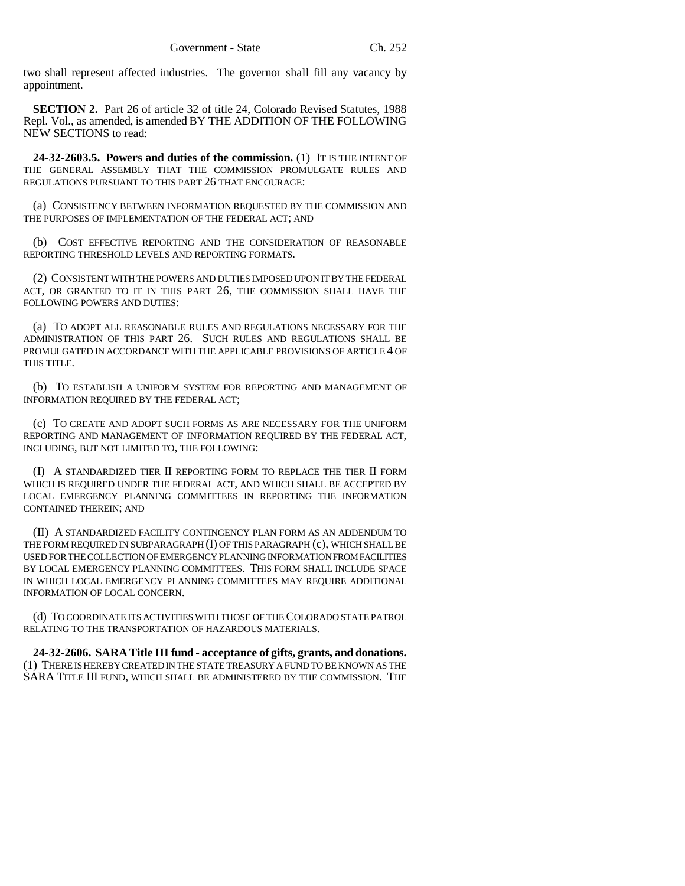two shall represent affected industries. The governor shall fill any vacancy by appointment.

**SECTION 2.** Part 26 of article 32 of title 24, Colorado Revised Statutes, 1988 Repl. Vol., as amended, is amended BY THE ADDITION OF THE FOLLOWING NEW SECTIONS to read:

**24-32-2603.5. Powers and duties of the commission.** (1) IT IS THE INTENT OF THE GENERAL ASSEMBLY THAT THE COMMISSION PROMULGATE RULES AND REGULATIONS PURSUANT TO THIS PART 26 THAT ENCOURAGE:

(a) CONSISTENCY BETWEEN INFORMATION REQUESTED BY THE COMMISSION AND THE PURPOSES OF IMPLEMENTATION OF THE FEDERAL ACT; AND

(b) COST EFFECTIVE REPORTING AND THE CONSIDERATION OF REASONABLE REPORTING THRESHOLD LEVELS AND REPORTING FORMATS.

(2) CONSISTENT WITH THE POWERS AND DUTIES IMPOSED UPON IT BY THE FEDERAL ACT, OR GRANTED TO IT IN THIS PART 26, THE COMMISSION SHALL HAVE THE FOLLOWING POWERS AND DUTIES:

(a) TO ADOPT ALL REASONABLE RULES AND REGULATIONS NECESSARY FOR THE ADMINISTRATION OF THIS PART 26. SUCH RULES AND REGULATIONS SHALL BE PROMULGATED IN ACCORDANCE WITH THE APPLICABLE PROVISIONS OF ARTICLE 4 OF THIS TITLE.

(b) TO ESTABLISH A UNIFORM SYSTEM FOR REPORTING AND MANAGEMENT OF INFORMATION REQUIRED BY THE FEDERAL ACT;

(c) TO CREATE AND ADOPT SUCH FORMS AS ARE NECESSARY FOR THE UNIFORM REPORTING AND MANAGEMENT OF INFORMATION REQUIRED BY THE FEDERAL ACT, INCLUDING, BUT NOT LIMITED TO, THE FOLLOWING:

(I) A STANDARDIZED TIER II REPORTING FORM TO REPLACE THE TIER II FORM WHICH IS REQUIRED UNDER THE FEDERAL ACT, AND WHICH SHALL BE ACCEPTED BY LOCAL EMERGENCY PLANNING COMMITTEES IN REPORTING THE INFORMATION CONTAINED THEREIN; AND

(II) A STANDARDIZED FACILITY CONTINGENCY PLAN FORM AS AN ADDENDUM TO THE FORM REQUIRED IN SUBPARAGRAPH (I) OF THIS PARAGRAPH (c), WHICH SHALL BE USED FOR THE COLLECTION OF EMERGENCY PLANNING INFORMATION FROM FACILITIES BY LOCAL EMERGENCY PLANNING COMMITTEES. THIS FORM SHALL INCLUDE SPACE IN WHICH LOCAL EMERGENCY PLANNING COMMITTEES MAY REQUIRE ADDITIONAL INFORMATION OF LOCAL CONCERN.

(d) TO COORDINATE ITS ACTIVITIES WITH THOSE OF THE COLORADO STATE PATROL RELATING TO THE TRANSPORTATION OF HAZARDOUS MATERIALS.

**24-32-2606. SARA Title III fund - acceptance of gifts, grants, and donations.** (1) THERE IS HEREBY CREATED IN THE STATE TREASURY A FUND TO BE KNOWN AS THE SARA TITLE III FUND, WHICH SHALL BE ADMINISTERED BY THE COMMISSION. THE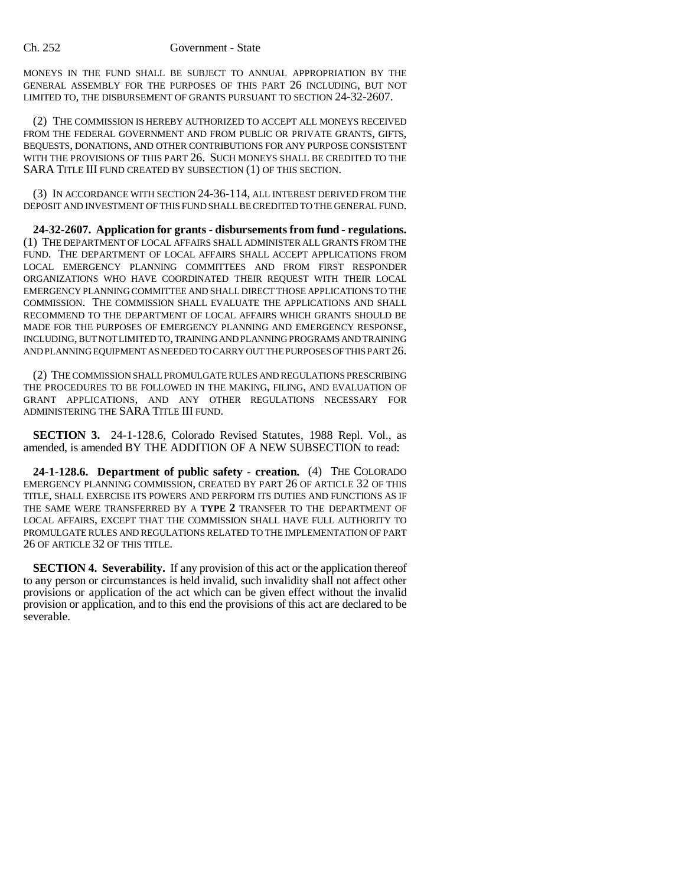## Ch. 252 Government - State

MONEYS IN THE FUND SHALL BE SUBJECT TO ANNUAL APPROPRIATION BY THE GENERAL ASSEMBLY FOR THE PURPOSES OF THIS PART 26 INCLUDING, BUT NOT LIMITED TO, THE DISBURSEMENT OF GRANTS PURSUANT TO SECTION 24-32-2607.

(2) THE COMMISSION IS HEREBY AUTHORIZED TO ACCEPT ALL MONEYS RECEIVED FROM THE FEDERAL GOVERNMENT AND FROM PUBLIC OR PRIVATE GRANTS, GIFTS, BEQUESTS, DONATIONS, AND OTHER CONTRIBUTIONS FOR ANY PURPOSE CONSISTENT WITH THE PROVISIONS OF THIS PART 26. SUCH MONEYS SHALL BE CREDITED TO THE SARA TITLE III FUND CREATED BY SUBSECTION (1) OF THIS SECTION.

(3) IN ACCORDANCE WITH SECTION 24-36-114, ALL INTEREST DERIVED FROM THE DEPOSIT AND INVESTMENT OF THIS FUND SHALL BE CREDITED TO THE GENERAL FUND.

**24-32-2607. Application for grants - disbursements from fund - regulations.** (1) THE DEPARTMENT OF LOCAL AFFAIRS SHALL ADMINISTER ALL GRANTS FROM THE FUND. THE DEPARTMENT OF LOCAL AFFAIRS SHALL ACCEPT APPLICATIONS FROM LOCAL EMERGENCY PLANNING COMMITTEES AND FROM FIRST RESPONDER ORGANIZATIONS WHO HAVE COORDINATED THEIR REQUEST WITH THEIR LOCAL EMERGENCY PLANNING COMMITTEE AND SHALL DIRECT THOSE APPLICATIONS TO THE COMMISSION. THE COMMISSION SHALL EVALUATE THE APPLICATIONS AND SHALL RECOMMEND TO THE DEPARTMENT OF LOCAL AFFAIRS WHICH GRANTS SHOULD BE MADE FOR THE PURPOSES OF EMERGENCY PLANNING AND EMERGENCY RESPONSE, INCLUDING, BUT NOT LIMITED TO, TRAINING AND PLANNING PROGRAMS AND TRAINING AND PLANNING EQUIPMENT AS NEEDED TO CARRY OUT THE PURPOSES OF THIS PART 26.

(2) THE COMMISSION SHALL PROMULGATE RULES AND REGULATIONS PRESCRIBING THE PROCEDURES TO BE FOLLOWED IN THE MAKING, FILING, AND EVALUATION OF GRANT APPLICATIONS, AND ANY OTHER REGULATIONS NECESSARY FOR ADMINISTERING THE SARA TITLE III FUND.

**SECTION 3.** 24-1-128.6, Colorado Revised Statutes, 1988 Repl. Vol., as amended, is amended BY THE ADDITION OF A NEW SUBSECTION to read:

**24-1-128.6. Department of public safety - creation.** (4) THE COLORADO EMERGENCY PLANNING COMMISSION, CREATED BY PART 26 OF ARTICLE 32 OF THIS TITLE, SHALL EXERCISE ITS POWERS AND PERFORM ITS DUTIES AND FUNCTIONS AS IF THE SAME WERE TRANSFERRED BY A **TYPE 2** TRANSFER TO THE DEPARTMENT OF LOCAL AFFAIRS, EXCEPT THAT THE COMMISSION SHALL HAVE FULL AUTHORITY TO PROMULGATE RULES AND REGULATIONS RELATED TO THE IMPLEMENTATION OF PART 26 OF ARTICLE 32 OF THIS TITLE.

**SECTION 4. Severability.** If any provision of this act or the application thereof to any person or circumstances is held invalid, such invalidity shall not affect other provisions or application of the act which can be given effect without the invalid provision or application, and to this end the provisions of this act are declared to be severable.